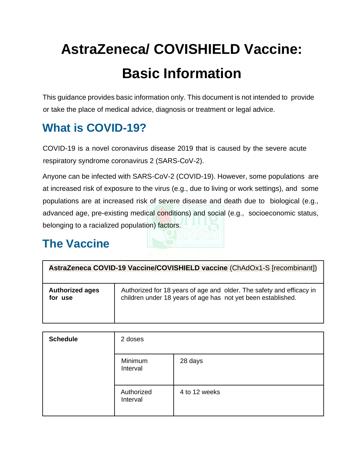# **AstraZeneca/ COVISHIELD Vaccine: Basic Information**

This guidance provides basic information only. This document is not intended to provide or take the place of medical advice, diagnosis or treatment or legal advice.

## **What is COVID-19?**

COVID-19 is a novel coronavirus disease 2019 that is caused by the severe acute respiratory syndrome coronavirus 2 (SARS-CoV-2).

Anyone can be infected with SARS-CoV-2 (COVID-19). However, some populations are at increased risk of exposure to the virus (e.g., due to living or work settings), and some populations are at increased risk of severe disease and death due to biological (e.g., advanced age, pre-existing medical conditions) and social (e.g., socioeconomic status, belonging to a racialized population) factors.

### **The Vaccine**

| AstraZeneca COVID-19 Vaccine/COVISHIELD vaccine (ChAdOx1-S [recombinant]) |                                                                      |  |  |
|---------------------------------------------------------------------------|----------------------------------------------------------------------|--|--|
| <b>Authorized ages</b>                                                    | Authorized for 18 years of age and older. The safety and efficacy in |  |  |
| for use                                                                   | children under 18 years of age has not yet been established.         |  |  |

| <b>Schedule</b> | 2 doses                |               |  |
|-----------------|------------------------|---------------|--|
|                 | Minimum<br>Interval    | 28 days       |  |
|                 | Authorized<br>Interval | 4 to 12 weeks |  |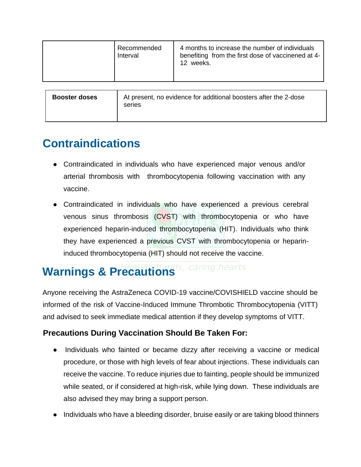|                      | Recommended<br>Interval                                                    | 4 months to increase the number of individuals<br>benefiting from the first dose of vaccinened at 4-<br>12 weeks. |  |
|----------------------|----------------------------------------------------------------------------|-------------------------------------------------------------------------------------------------------------------|--|
| <b>Booster doses</b> | At present, no evidence for additional boosters after the 2-dose<br>series |                                                                                                                   |  |

### **Contraindications**

- Contraindicated in individuals who have experienced major venous and/or arterial thrombosis with thrombocytopenia following vaccination with any vaccine.
- Contraindicated in individuals who have experienced a previous cerebral venous sinus thrombosis (CVST) with thrombocytopenia or who have experienced heparin-induced thrombocytopenia (HIT). Individuals who think they have experienced a previous CVST with thrombocytopenia or heparininduced thrombocytopenia (HIT) should not receive the vaccine.

## Warnings & Precautions<sup>'s, caring hearts</sup>

Anyone receiving the AstraZeneca COVID-19 vaccine/COVISHIELD vaccine should be informed of the risk of Vaccine-Induced Immune Thrombotic Thrombocytopenia (VITT) and advised to seek immediate medical attention if they develop symptoms of VITT.

#### **Precautions During Vaccination Should Be Taken For:**

- Individuals who fainted or became dizzy after receiving a vaccine or medical procedure, or those with high levels of fear about injections. These individuals can receive the vaccine. To reduce injuries due to fainting, people should be immunized while seated, or if considered at high-risk, while lying down. These individuals are also advised they may bring a support person.
- Individuals who have a bleeding disorder, bruise easily or are taking blood thinners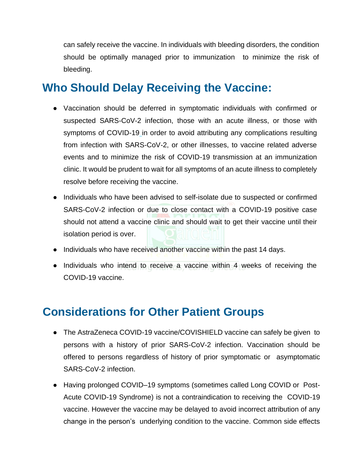can safely receive the vaccine. In individuals with bleeding disorders, the condition should be optimally managed prior to immunization to minimize the risk of bleeding.

### **Who Should Delay Receiving the Vaccine:**

- Vaccination should be deferred in symptomatic individuals with confirmed or suspected SARS-CoV-2 infection, those with an acute illness, or those with symptoms of COVID-19 in order to avoid attributing any complications resulting from infection with SARS-CoV-2, or other illnesses, to vaccine related adverse events and to minimize the risk of COVID-19 transmission at an immunization clinic. It would be prudent to wait for all symptoms of an acute illness to completely resolve before receiving the vaccine.
- Individuals who have been advised to self-isolate due to suspected or confirmed SARS-CoV-2 infection or due to close contact with a COVID-19 positive case should not attend a vaccine clinic and should wait to get their vaccine until their isolation period is over.
- Individuals who have received another vaccine within the past 14 days.
- Individuals who intend to receive a vaccine within 4 weeks of receiving the COVID-19 vaccine.

### **Considerations for Other Patient Groups**

- The AstraZeneca COVID-19 vaccine/COVISHIELD vaccine can safely be given to persons with a history of prior SARS-CoV-2 infection. Vaccination should be offered to persons regardless of history of prior symptomatic or asymptomatic SARS-CoV-2 infection.
- Having prolonged COVID–19 symptoms (sometimes called Long COVID or Post-Acute COVID-19 Syndrome) is not a contraindication to receiving the COVID-19 vaccine. However the vaccine may be delayed to avoid incorrect attribution of any change in the person's underlying condition to the vaccine. Common side effects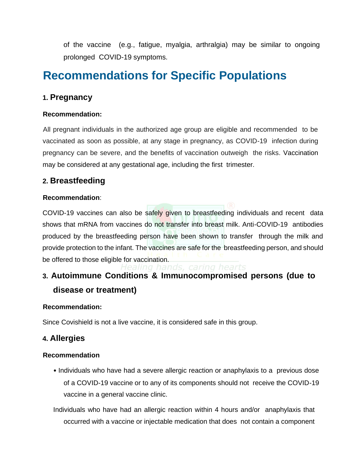of the vaccine (e.g., fatigue, myalgia, arthralgia) may be similar to ongoing prolonged COVID-19 symptoms.

### **Recommendations for Specific Populations**

#### **1. Pregnancy**

#### **Recommendation:**

All pregnant individuals in the authorized age group are eligible and recommended to be vaccinated as soon as possible, at any stage in pregnancy, as COVID-19 infection during pregnancy can be severe, and the benefits of vaccination outweigh the risks. Vaccination may be considered at any gestational age, including the first trimester.

#### **2. Breastfeeding**

#### **Recommendation**:

COVID-19 vaccines can also be safely given to breastfeeding individuals and recent data shows that mRNA from vaccines do not transfer into breast milk. Anti-COVID-19 antibodies produced by the breastfeeding person have been shown to transfer through the milk and provide protection to the infant. The vaccines are safe for the breastfeeding person, and should be offered to those eligible for vaccination.<br>Healing hands, caring hearts

### **3. Autoimmune Conditions & Immunocompromised persons (due to disease or treatment)**

#### **Recommendation:**

Since Covishield is not a live vaccine, it is considered safe in this group.

#### **4. Allergies**

#### **Recommendation**

• Individuals who have had a severe allergic reaction or anaphylaxis to a previous dose of a COVID-19 vaccine or to any of its components should not receive the COVID-19 vaccine in a general vaccine clinic.

Individuals who have had an allergic reaction within 4 hours and/or anaphylaxis that occurred with a vaccine or injectable medication that does not contain a component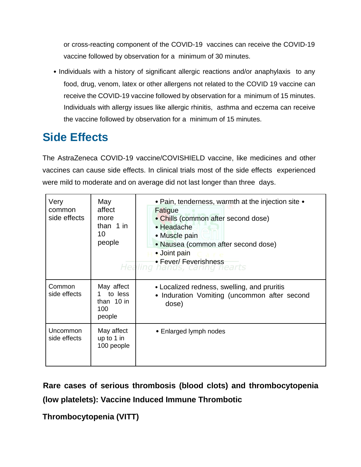or cross-reacting component of the COVID-19 vaccines can receive the COVID-19 vaccine followed by observation for a minimum of 30 minutes.

• Individuals with a history of significant allergic reactions and/or anaphylaxis to any food, drug, venom, latex or other allergens not related to the COVID 19 vaccine can receive the COVID-19 vaccine followed by observation for a minimum of 15 minutes. Individuals with allergy issues like allergic rhinitis, asthma and eczema can receive the vaccine followed by observation for a minimum of 15 minutes.

### **Side Effects**

The AstraZeneca COVID-19 vaccine/COVISHIELD vaccine, like medicines and other vaccines can cause side effects. In clinical trials most of the side effects experienced were mild to moderate and on average did not last longer than three days.

| Very<br>common<br>side effects | May<br>affect<br>more<br>than $1$ in<br>10<br>people | • Pain, tenderness, warmth at the injection site •<br>Fatigue<br>• Chills (common after second dose)<br>• Headache<br>• Muscle pain<br>• Nausea (common after second dose)<br>• Joint pain<br>Care<br>• Fever/ Feverishness<br>Healing hands, caring hearts |
|--------------------------------|------------------------------------------------------|-------------------------------------------------------------------------------------------------------------------------------------------------------------------------------------------------------------------------------------------------------------|
| Common<br>side effects         | May affect<br>to less<br>than 10 in<br>100<br>people | • Localized redness, swelling, and pruritis<br>• Induration Vomiting (uncommon after second<br>dose)                                                                                                                                                        |
| Uncommon<br>side effects       | May affect<br>up to 1 in<br>100 people               | • Enlarged lymph nodes                                                                                                                                                                                                                                      |

**Rare cases of serious thrombosis (blood clots) and thrombocytopenia (low platelets): Vaccine Induced Immune Thrombotic**

**Thrombocytopenia (VITT)**